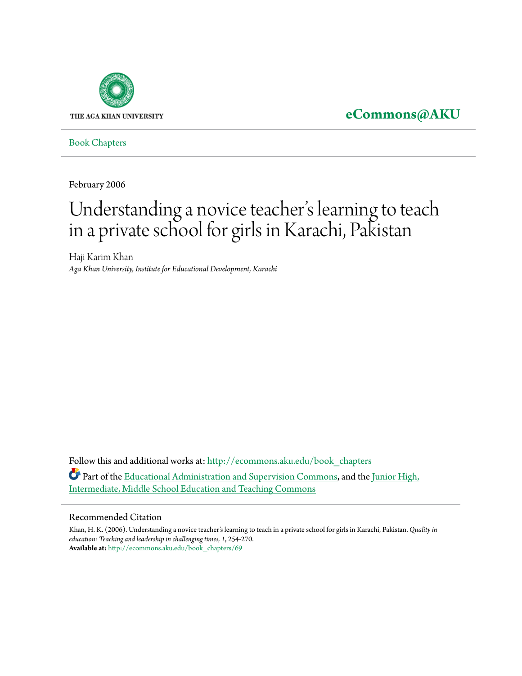

**[eCommons@AKU](http://ecommons.aku.edu?utm_source=ecommons.aku.edu%2Fbook_chapters%2F69&utm_medium=PDF&utm_campaign=PDFCoverPages)**

[Book Chapters](http://ecommons.aku.edu/book_chapters?utm_source=ecommons.aku.edu%2Fbook_chapters%2F69&utm_medium=PDF&utm_campaign=PDFCoverPages)

February 2006

# Understanding a novice teacher 's learning to teach in a private school for girls in Karachi, Pakistan

Haji Karim Khan *Aga Khan University, Institute for Educational Development, Karachi*

Follow this and additional works at: [http://ecommons.aku.edu/book\\_chapters](http://ecommons.aku.edu/book_chapters?utm_source=ecommons.aku.edu%2Fbook_chapters%2F69&utm_medium=PDF&utm_campaign=PDFCoverPages) Part of the [Educational Administration and Supervision Commons,](http://network.bepress.com/hgg/discipline/787?utm_source=ecommons.aku.edu%2Fbook_chapters%2F69&utm_medium=PDF&utm_campaign=PDFCoverPages) and the [Junior High,](http://network.bepress.com/hgg/discipline/807?utm_source=ecommons.aku.edu%2Fbook_chapters%2F69&utm_medium=PDF&utm_campaign=PDFCoverPages) [Intermediate, Middle School Education and Teaching Commons](http://network.bepress.com/hgg/discipline/807?utm_source=ecommons.aku.edu%2Fbook_chapters%2F69&utm_medium=PDF&utm_campaign=PDFCoverPages)

#### Recommended Citation

Khan, H. K. (2006). Understanding a novice teacher's learning to teach in a private school for girls in Karachi, Pakistan. *Quality in education: Teaching and leadership in challenging times, 1*, 254-270. **Available at:** [http://ecommons.aku.edu/book\\_chapters/69](http://ecommons.aku.edu/book_chapters/69)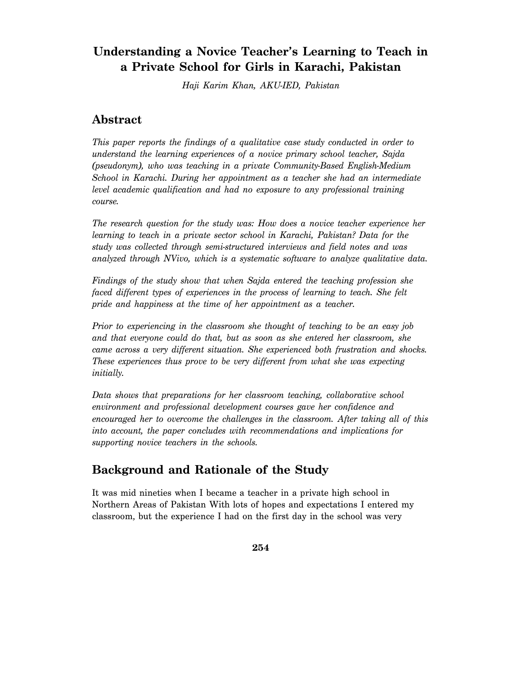## **Understanding a Novice Teacher's Learning to Teach in a Private School for Girls in Karachi, Pakistan**

*Haji Karim Khan, AKU-IED, Pakistan* 

## **Abstract**

*This paper reports the findings of a qualitative case study conducted in order to understand the learning experiences of a novice primary school teacher, Sajda (pseudonym), who was teaching in a private Community-Based English-Medium School in Karachi. During her appointment as a teacher she had an intermediate level academic qualification and had no exposure to any professional training course.* 

*The research question for the study was: How does a novice teacher experience her learning to teach in a private sector school in Karachi, Pakistan? Data for the study was collected through semi-structured interviews and field notes and was analyzed through NVivo, which is a systematic software to analyze qualitative data.* 

*Findings of the study show that when Sajda entered the teaching profession she faced different types of experiences in the process of learning to teach. She felt pride and happiness at the time of her appointment as a teacher.* 

*Prior to experiencing in the classroom she thought of teaching to be an easy job and that everyone could do that, but as soon as she entered her classroom, she came across a very different situation. She experienced both frustration and shocks. These experiences thus prove to be very different from what she was expecting initially.* 

*Data shows that preparations for her classroom teaching, collaborative school environment and professional development courses gave her confidence and encouraged her to overcome the challenges in the classroom. After taking all of this into account, the paper concludes with recommendations and implications for supporting novice teachers in the schools.* 

## **Background and Rationale of the Study**

It was mid nineties when I became a teacher in a private high school in Northern Areas of Pakistan With lots of hopes and expectations I entered my classroom, but the experience I had on the first day in the school was very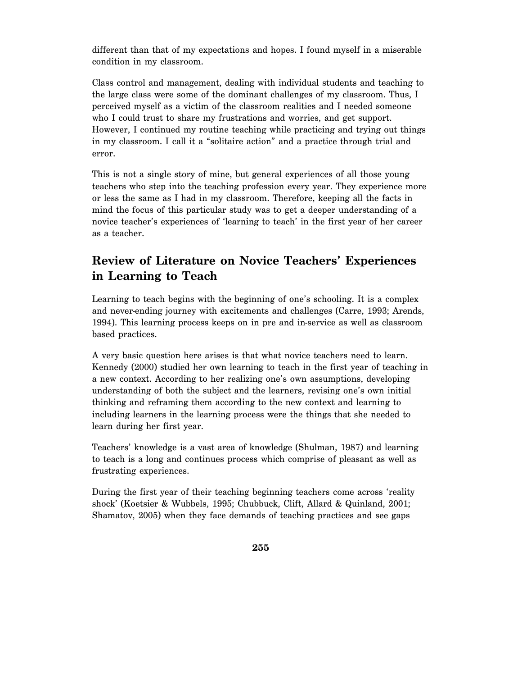different than that of my expectations and hopes. I found myself in a miserable condition in my classroom.

Class control and management, dealing with individual students and teaching to the large class were some of the dominant challenges of my classroom. Thus, I perceived myself as a victim of the classroom realities and I needed someone who I could trust to share my frustrations and worries, and get support. However, I continued my routine teaching while practicing and trying out things in my classroom. I call it a "solitaire action" and a practice through trial and error.

This is not a single story of mine, but general experiences of all those young teachers who step into the teaching profession every year. They experience more or less the same as I had in my classroom. Therefore, keeping all the facts in mind the focus of this particular study was to get a deeper understanding of a novice teacher's experiences of 'learning to teach' in the first year of her career as a teacher.

#### **Review of Literature on Novice Teachers' Experiences in Learning to Teach**

Learning to teach begins with the beginning of one's schooling. It is a complex and never-ending journey with excitements and challenges (Carre, 1993; Arends, 1994). This learning process keeps on in pre and in-service as well as classroom based practices.

A very basic question here arises is that what novice teachers need to learn. Kennedy (2000) studied her own learning to teach in the first year of teaching in a new context. According to her realizing one's own assumptions, developing understanding of both the subject and the learners, revising one's own initial thinking and reframing them according to the new context and learning to including learners in the learning process were the things that she needed to learn during her first year.

Teachers' knowledge is a vast area of knowledge (Shulman, 1987) and learning to teach is a long and continues process which comprise of pleasant as well as frustrating experiences.

During the first year of their teaching beginning teachers come across 'reality shock' (Koetsier & Wubbels, 1995; Chubbuck, Clift, Allard & Quinland, 2001; Shamatov, 2005) when they face demands of teaching practices and see gaps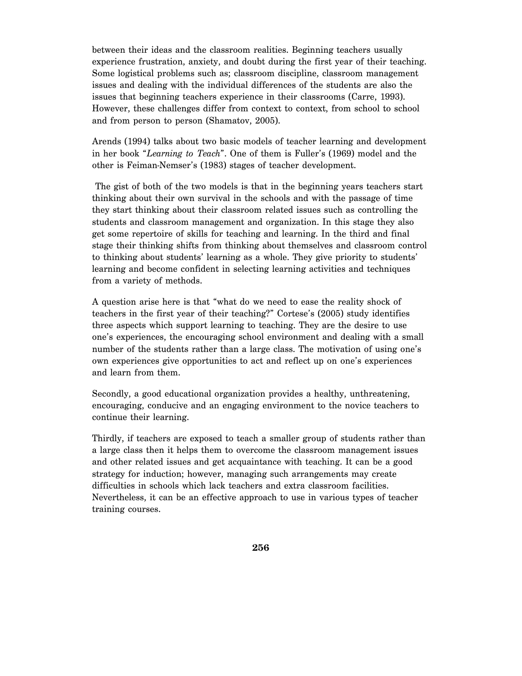between their ideas and the classroom realities. Beginning teachers usually experience frustration, anxiety, and doubt during the first year of their teaching. Some logistical problems such as; classroom discipline, classroom management issues and dealing with the individual differences of the students are also the issues that beginning teachers experience in their classrooms (Carre, 1993). However, these challenges differ from context to context, from school to school and from person to person (Shamatov, 2005).

Arends (1994) talks about two basic models of teacher learning and development in her book "*Learning to Teach*". One of them is Fuller's (1969) model and the other is Feiman-Nemser's (1983) stages of teacher development.

 The gist of both of the two models is that in the beginning years teachers start thinking about their own survival in the schools and with the passage of time they start thinking about their classroom related issues such as controlling the students and classroom management and organization. In this stage they also get some repertoire of skills for teaching and learning. In the third and final stage their thinking shifts from thinking about themselves and classroom control to thinking about students' learning as a whole. They give priority to students' learning and become confident in selecting learning activities and techniques from a variety of methods.

A question arise here is that "what do we need to ease the reality shock of teachers in the first year of their teaching?" Cortese's (2005) study identifies three aspects which support learning to teaching. They are the desire to use one's experiences, the encouraging school environment and dealing with a small number of the students rather than a large class. The motivation of using one's own experiences give opportunities to act and reflect up on one's experiences and learn from them.

Secondly, a good educational organization provides a healthy, unthreatening, encouraging, conducive and an engaging environment to the novice teachers to continue their learning.

Thirdly, if teachers are exposed to teach a smaller group of students rather than a large class then it helps them to overcome the classroom management issues and other related issues and get acquaintance with teaching. It can be a good strategy for induction; however, managing such arrangements may create difficulties in schools which lack teachers and extra classroom facilities. Nevertheless, it can be an effective approach to use in various types of teacher training courses.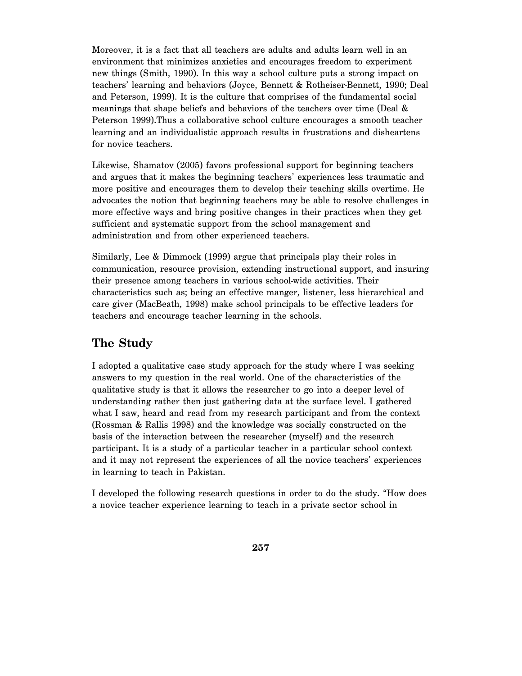Moreover, it is a fact that all teachers are adults and adults learn well in an environment that minimizes anxieties and encourages freedom to experiment new things (Smith, 1990). In this way a school culture puts a strong impact on teachers' learning and behaviors (Joyce, Bennett & Rotheiser-Bennett, 1990; Deal and Peterson, 1999). It is the culture that comprises of the fundamental social meanings that shape beliefs and behaviors of the teachers over time (Deal & Peterson 1999).Thus a collaborative school culture encourages a smooth teacher learning and an individualistic approach results in frustrations and disheartens for novice teachers.

Likewise, Shamatov (2005) favors professional support for beginning teachers and argues that it makes the beginning teachers' experiences less traumatic and more positive and encourages them to develop their teaching skills overtime. He advocates the notion that beginning teachers may be able to resolve challenges in more effective ways and bring positive changes in their practices when they get sufficient and systematic support from the school management and administration and from other experienced teachers.

Similarly, Lee & Dimmock (1999) argue that principals play their roles in communication, resource provision, extending instructional support, and insuring their presence among teachers in various school-wide activities. Their characteristics such as; being an effective manger, listener, less hierarchical and care giver (MacBeath, 1998) make school principals to be effective leaders for teachers and encourage teacher learning in the schools.

#### **The Study**

I adopted a qualitative case study approach for the study where I was seeking answers to my question in the real world. One of the characteristics of the qualitative study is that it allows the researcher to go into a deeper level of understanding rather then just gathering data at the surface level. I gathered what I saw, heard and read from my research participant and from the context (Rossman & Rallis 1998) and the knowledge was socially constructed on the basis of the interaction between the researcher (myself) and the research participant. It is a study of a particular teacher in a particular school context and it may not represent the experiences of all the novice teachers' experiences in learning to teach in Pakistan.

I developed the following research questions in order to do the study. "How does a novice teacher experience learning to teach in a private sector school in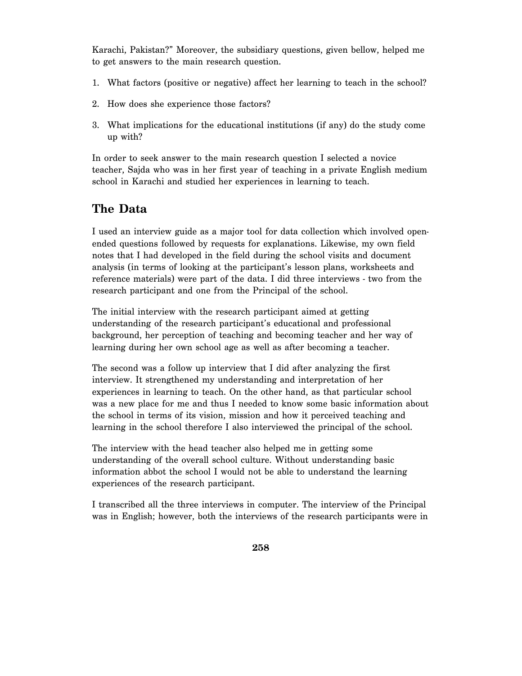Karachi, Pakistan?" Moreover, the subsidiary questions, given bellow, helped me to get answers to the main research question.

- 1. What factors (positive or negative) affect her learning to teach in the school?
- 2. How does she experience those factors?
- 3. What implications for the educational institutions (if any) do the study come up with?

In order to seek answer to the main research question I selected a novice teacher, Sajda who was in her first year of teaching in a private English medium school in Karachi and studied her experiences in learning to teach.

## **The Data**

I used an interview guide as a major tool for data collection which involved openended questions followed by requests for explanations. Likewise, my own field notes that I had developed in the field during the school visits and document analysis (in terms of looking at the participant's lesson plans, worksheets and reference materials) were part of the data. I did three interviews - two from the research participant and one from the Principal of the school.

The initial interview with the research participant aimed at getting understanding of the research participant's educational and professional background, her perception of teaching and becoming teacher and her way of learning during her own school age as well as after becoming a teacher.

The second was a follow up interview that I did after analyzing the first interview. It strengthened my understanding and interpretation of her experiences in learning to teach. On the other hand, as that particular school was a new place for me and thus I needed to know some basic information about the school in terms of its vision, mission and how it perceived teaching and learning in the school therefore I also interviewed the principal of the school.

The interview with the head teacher also helped me in getting some understanding of the overall school culture. Without understanding basic information abbot the school I would not be able to understand the learning experiences of the research participant.

I transcribed all the three interviews in computer. The interview of the Principal was in English; however, both the interviews of the research participants were in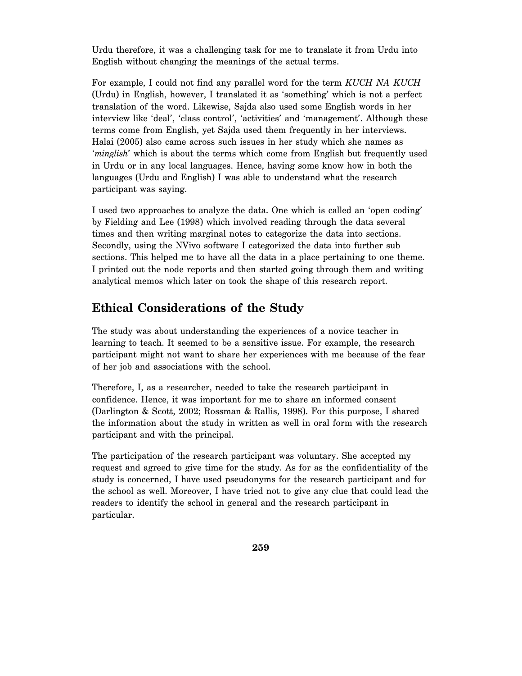Urdu therefore, it was a challenging task for me to translate it from Urdu into English without changing the meanings of the actual terms.

For example, I could not find any parallel word for the term *KUCH NA KUCH* (Urdu) in English, however, I translated it as 'something' which is not a perfect translation of the word. Likewise, Sajda also used some English words in her interview like 'deal', 'class control', 'activities' and 'management'. Although these terms come from English, yet Sajda used them frequently in her interviews. Halai (2005) also came across such issues in her study which she names as '*minglish*' which is about the terms which come from English but frequently used in Urdu or in any local languages. Hence, having some know how in both the languages (Urdu and English) I was able to understand what the research participant was saying.

I used two approaches to analyze the data. One which is called an 'open coding' by Fielding and Lee (1998) which involved reading through the data several times and then writing marginal notes to categorize the data into sections. Secondly, using the NVivo software I categorized the data into further sub sections. This helped me to have all the data in a place pertaining to one theme. I printed out the node reports and then started going through them and writing analytical memos which later on took the shape of this research report.

## **Ethical Considerations of the Study**

The study was about understanding the experiences of a novice teacher in learning to teach. It seemed to be a sensitive issue. For example, the research participant might not want to share her experiences with me because of the fear of her job and associations with the school.

Therefore, I, as a researcher, needed to take the research participant in confidence. Hence, it was important for me to share an informed consent (Darlington & Scott, 2002; Rossman & Rallis, 1998). For this purpose, I shared the information about the study in written as well in oral form with the research participant and with the principal.

The participation of the research participant was voluntary. She accepted my request and agreed to give time for the study. As for as the confidentiality of the study is concerned, I have used pseudonyms for the research participant and for the school as well. Moreover, I have tried not to give any clue that could lead the readers to identify the school in general and the research participant in particular.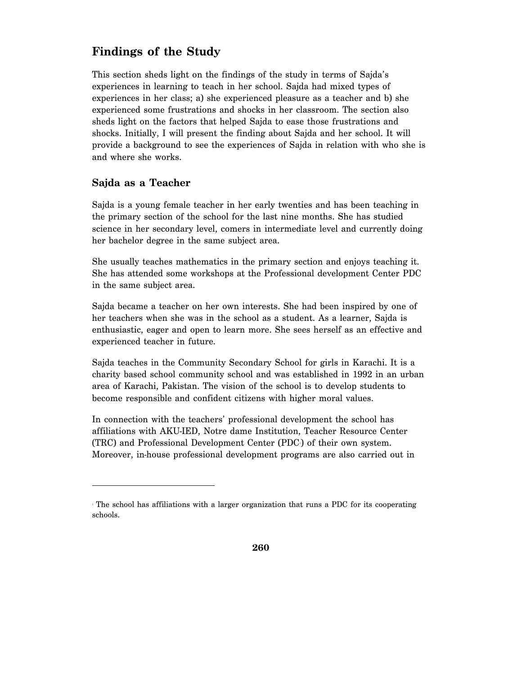#### **Findings of the Study**

This section sheds light on the findings of the study in terms of Sajda's experiences in learning to teach in her school. Sajda had mixed types of experiences in her class; a) she experienced pleasure as a teacher and b) she experienced some frustrations and shocks in her classroom. The section also sheds light on the factors that helped Sajda to ease those frustrations and shocks. Initially, I will present the finding about Sajda and her school. It will provide a background to see the experiences of Sajda in relation with who she is and where she works.

#### **Sajda as a Teacher**

-

Sajda is a young female teacher in her early twenties and has been teaching in the primary section of the school for the last nine months. She has studied science in her secondary level, comers in intermediate level and currently doing her bachelor degree in the same subject area.

She usually teaches mathematics in the primary section and enjoys teaching it. She has attended some workshops at the Professional development Center PDC in the same subject area.

Sajda became a teacher on her own interests. She had been inspired by one of her teachers when she was in the school as a student. As a learner, Sajda is enthusiastic, eager and open to learn more. She sees herself as an effective and experienced teacher in future.

Sajda teaches in the Community Secondary School for girls in Karachi. It is a charity based school community school and was established in 1992 in an urban area of Karachi, Pakistan. The vision of the school is to develop students to become responsible and confident citizens with higher moral values.

In connection with the teachers' professional development the school has affiliations with AKU-IED, Notre dame Institution, Teacher Resource Center (TRC) and Professional Development Center (PDC<sup>)</sup> of their own system. Moreover, in-house professional development programs are also carried out in

The school has affiliations with a larger organization that runs a PDC for its cooperating schools.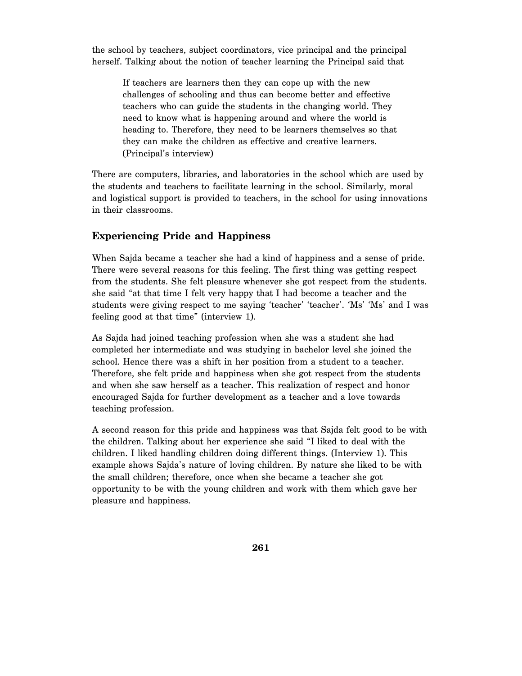the school by teachers, subject coordinators, vice principal and the principal herself. Talking about the notion of teacher learning the Principal said that

If teachers are learners then they can cope up with the new challenges of schooling and thus can become better and effective teachers who can guide the students in the changing world. They need to know what is happening around and where the world is heading to. Therefore, they need to be learners themselves so that they can make the children as effective and creative learners. (Principal's interview)

There are computers, libraries, and laboratories in the school which are used by the students and teachers to facilitate learning in the school. Similarly, moral and logistical support is provided to teachers, in the school for using innovations in their classrooms.

#### **Experiencing Pride and Happiness**

When Sajda became a teacher she had a kind of happiness and a sense of pride. There were several reasons for this feeling. The first thing was getting respect from the students. She felt pleasure whenever she got respect from the students. she said "at that time I felt very happy that I had become a teacher and the students were giving respect to me saying 'teacher' 'teacher'. 'Ms' 'Ms' and I was feeling good at that time" (interview 1).

As Sajda had joined teaching profession when she was a student she had completed her intermediate and was studying in bachelor level she joined the school. Hence there was a shift in her position from a student to a teacher. Therefore, she felt pride and happiness when she got respect from the students and when she saw herself as a teacher. This realization of respect and honor encouraged Sajda for further development as a teacher and a love towards teaching profession.

A second reason for this pride and happiness was that Sajda felt good to be with the children. Talking about her experience she said "I liked to deal with the children. I liked handling children doing different things. (Interview 1). This example shows Sajda's nature of loving children. By nature she liked to be with the small children; therefore, once when she became a teacher she got opportunity to be with the young children and work with them which gave her pleasure and happiness.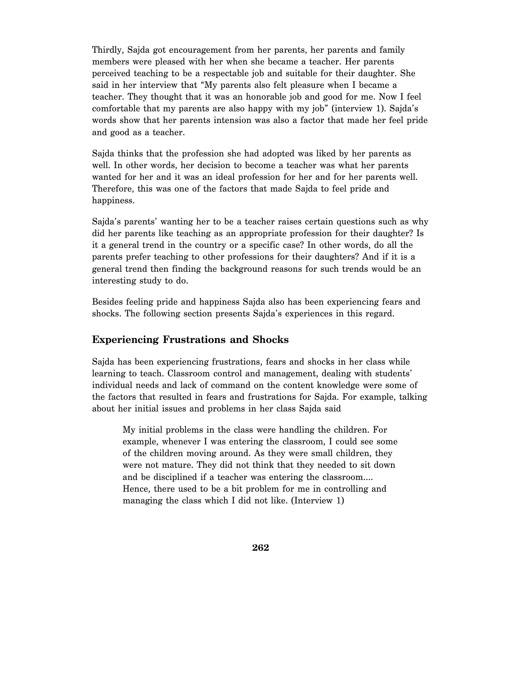Thirdly, Sajda got encouragement from her parents, her parents and family members were pleased with her when she became a teacher. Her parents perceived teaching to be a respectable job and suitable for their daughter. She said in her interview that "My parents also felt pleasure when I became a teacher. They thought that it was an honorable job and good for me. Now I feel comfortable that my parents are also happy with my job" (interview 1). Sajda's words show that her parents intension was also a factor that made her feel pride and good as a teacher.

Sajda thinks that the profession she had adopted was liked by her parents as well. In other words, her decision to become a teacher was what her parents wanted for her and it was an ideal profession for her and for her parents well. Therefore, this was one of the factors that made Sajda to feel pride and happiness.

Sajda's parents' wanting her to be a teacher raises certain questions such as why did her parents like teaching as an appropriate profession for their daughter? Is it a general trend in the country or a specific case? In other words, do all the parents prefer teaching to other professions for their daughters? And if it is a general trend then finding the background reasons for such trends would be an interesting study to do.

Besides feeling pride and happiness Sajda also has been experiencing fears and shocks. The following section presents Sajda's experiences in this regard.

#### **Experiencing Frustrations and Shocks**

Sajda has been experiencing frustrations, fears and shocks in her class while learning to teach. Classroom control and management, dealing with students' individual needs and lack of command on the content knowledge were some of the factors that resulted in fears and frustrations for Sajda. For example, talking about her initial issues and problems in her class Sajda said

My initial problems in the class were handling the children. For example, whenever I was entering the classroom, I could see some of the children moving around. As they were small children, they were not mature. They did not think that they needed to sit down and be disciplined if a teacher was entering the classroom…. Hence, there used to be a bit problem for me in controlling and managing the class which I did not like. (Interview 1)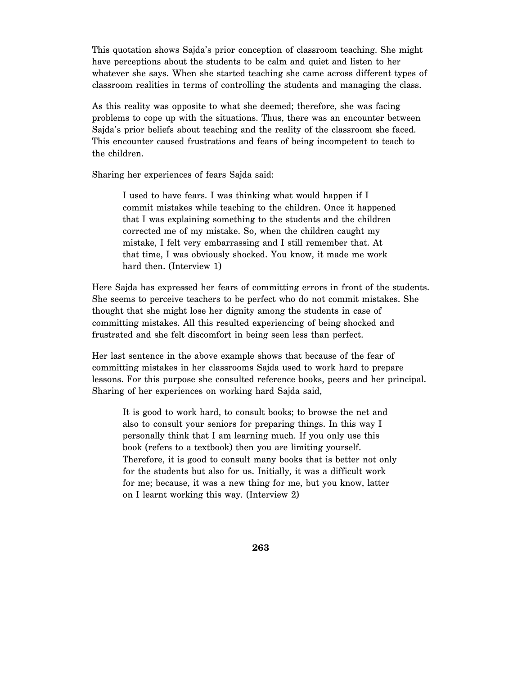This quotation shows Sajda's prior conception of classroom teaching. She might have perceptions about the students to be calm and quiet and listen to her whatever she says. When she started teaching she came across different types of classroom realities in terms of controlling the students and managing the class.

As this reality was opposite to what she deemed; therefore, she was facing problems to cope up with the situations. Thus, there was an encounter between Sajda's prior beliefs about teaching and the reality of the classroom she faced. This encounter caused frustrations and fears of being incompetent to teach to the children.

Sharing her experiences of fears Sajda said:

I used to have fears. I was thinking what would happen if I commit mistakes while teaching to the children. Once it happened that I was explaining something to the students and the children corrected me of my mistake. So, when the children caught my mistake, I felt very embarrassing and I still remember that. At that time, I was obviously shocked. You know, it made me work hard then. (Interview 1)

Here Sajda has expressed her fears of committing errors in front of the students. She seems to perceive teachers to be perfect who do not commit mistakes. She thought that she might lose her dignity among the students in case of committing mistakes. All this resulted experiencing of being shocked and frustrated and she felt discomfort in being seen less than perfect.

Her last sentence in the above example shows that because of the fear of committing mistakes in her classrooms Sajda used to work hard to prepare lessons. For this purpose she consulted reference books, peers and her principal. Sharing of her experiences on working hard Sajda said,

It is good to work hard, to consult books; to browse the net and also to consult your seniors for preparing things. In this way I personally think that I am learning much. If you only use this book (refers to a textbook) then you are limiting yourself. Therefore, it is good to consult many books that is better not only for the students but also for us. Initially, it was a difficult work for me; because, it was a new thing for me, but you know, latter on I learnt working this way. (Interview 2)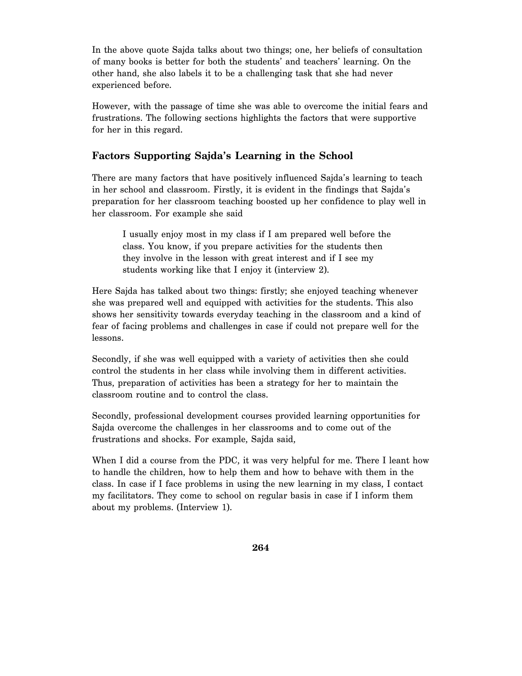In the above quote Sajda talks about two things; one, her beliefs of consultation of many books is better for both the students' and teachers' learning. On the other hand, she also labels it to be a challenging task that she had never experienced before.

However, with the passage of time she was able to overcome the initial fears and frustrations. The following sections highlights the factors that were supportive for her in this regard.

#### **Factors Supporting Sajda's Learning in the School**

There are many factors that have positively influenced Sajda's learning to teach in her school and classroom. Firstly, it is evident in the findings that Sajda's preparation for her classroom teaching boosted up her confidence to play well in her classroom. For example she said

I usually enjoy most in my class if I am prepared well before the class. You know, if you prepare activities for the students then they involve in the lesson with great interest and if I see my students working like that I enjoy it (interview 2).

Here Sajda has talked about two things: firstly; she enjoyed teaching whenever she was prepared well and equipped with activities for the students. This also shows her sensitivity towards everyday teaching in the classroom and a kind of fear of facing problems and challenges in case if could not prepare well for the lessons.

Secondly, if she was well equipped with a variety of activities then she could control the students in her class while involving them in different activities. Thus, preparation of activities has been a strategy for her to maintain the classroom routine and to control the class.

Secondly, professional development courses provided learning opportunities for Sajda overcome the challenges in her classrooms and to come out of the frustrations and shocks. For example, Sajda said,

When I did a course from the PDC, it was very helpful for me. There I leant how to handle the children, how to help them and how to behave with them in the class. In case if I face problems in using the new learning in my class, I contact my facilitators. They come to school on regular basis in case if I inform them about my problems. (Interview 1).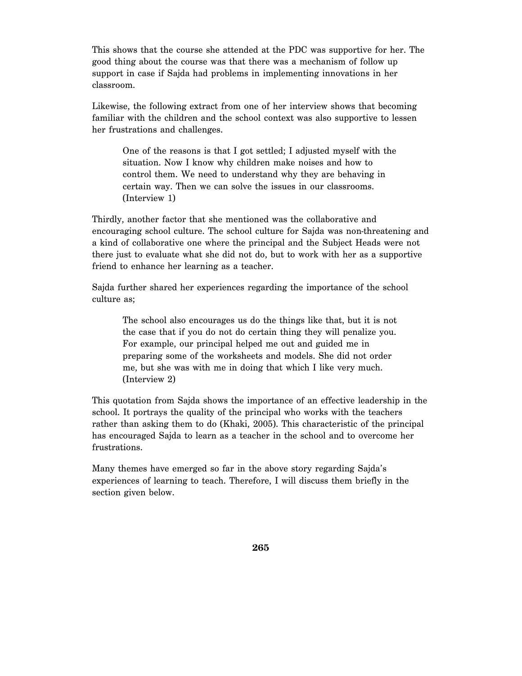This shows that the course she attended at the PDC was supportive for her. The good thing about the course was that there was a mechanism of follow up support in case if Sajda had problems in implementing innovations in her classroom.

Likewise, the following extract from one of her interview shows that becoming familiar with the children and the school context was also supportive to lessen her frustrations and challenges.

One of the reasons is that I got settled; I adjusted myself with the situation. Now I know why children make noises and how to control them. We need to understand why they are behaving in certain way. Then we can solve the issues in our classrooms. (Interview 1)

Thirdly, another factor that she mentioned was the collaborative and encouraging school culture. The school culture for Sajda was non-threatening and a kind of collaborative one where the principal and the Subject Heads were not there just to evaluate what she did not do, but to work with her as a supportive friend to enhance her learning as a teacher.

Sajda further shared her experiences regarding the importance of the school culture as;

The school also encourages us do the things like that, but it is not the case that if you do not do certain thing they will penalize you. For example, our principal helped me out and guided me in preparing some of the worksheets and models. She did not order me, but she was with me in doing that which I like very much. (Interview 2)

This quotation from Sajda shows the importance of an effective leadership in the school. It portrays the quality of the principal who works with the teachers rather than asking them to do (Khaki, 2005). This characteristic of the principal has encouraged Sajda to learn as a teacher in the school and to overcome her frustrations.

Many themes have emerged so far in the above story regarding Sajda's experiences of learning to teach. Therefore, I will discuss them briefly in the section given below.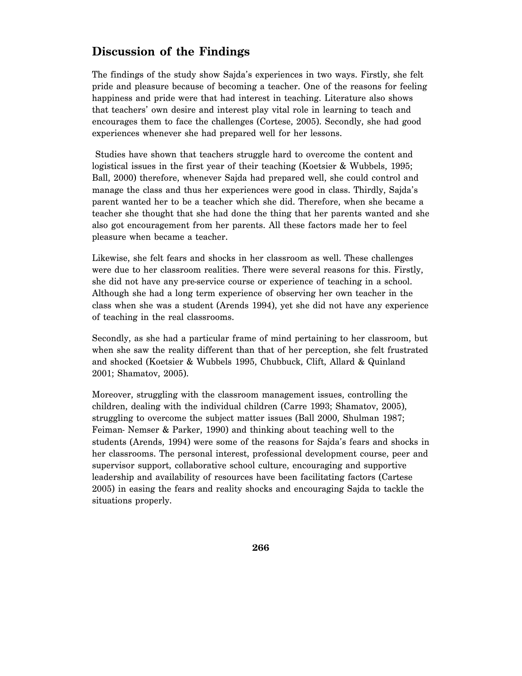#### **Discussion of the Findings**

The findings of the study show Sajda's experiences in two ways. Firstly, she felt pride and pleasure because of becoming a teacher. One of the reasons for feeling happiness and pride were that had interest in teaching. Literature also shows that teachers' own desire and interest play vital role in learning to teach and encourages them to face the challenges (Cortese, 2005). Secondly, she had good experiences whenever she had prepared well for her lessons.

 Studies have shown that teachers struggle hard to overcome the content and logistical issues in the first year of their teaching (Koetsier & Wubbels, 1995; Ball, 2000) therefore, whenever Sajda had prepared well, she could control and manage the class and thus her experiences were good in class. Thirdly, Sajda's parent wanted her to be a teacher which she did. Therefore, when she became a teacher she thought that she had done the thing that her parents wanted and she also got encouragement from her parents. All these factors made her to feel pleasure when became a teacher.

Likewise, she felt fears and shocks in her classroom as well. These challenges were due to her classroom realities. There were several reasons for this. Firstly, she did not have any pre-service course or experience of teaching in a school. Although she had a long term experience of observing her own teacher in the class when she was a student (Arends 1994), yet she did not have any experience of teaching in the real classrooms.

Secondly, as she had a particular frame of mind pertaining to her classroom, but when she saw the reality different than that of her perception, she felt frustrated and shocked (Koetsier & Wubbels 1995, Chubbuck, Clift, Allard & Quinland 2001; Shamatov, 2005).

Moreover, struggling with the classroom management issues, controlling the children, dealing with the individual children (Carre 1993; Shamatov, 2005), struggling to overcome the subject matter issues (Ball 2000, Shulman 1987; Feiman- Nemser & Parker, 1990) and thinking about teaching well to the students (Arends, 1994) were some of the reasons for Sajda's fears and shocks in her classrooms. The personal interest, professional development course, peer and supervisor support, collaborative school culture, encouraging and supportive leadership and availability of resources have been facilitating factors (Cartese 2005) in easing the fears and reality shocks and encouraging Sajda to tackle the situations properly.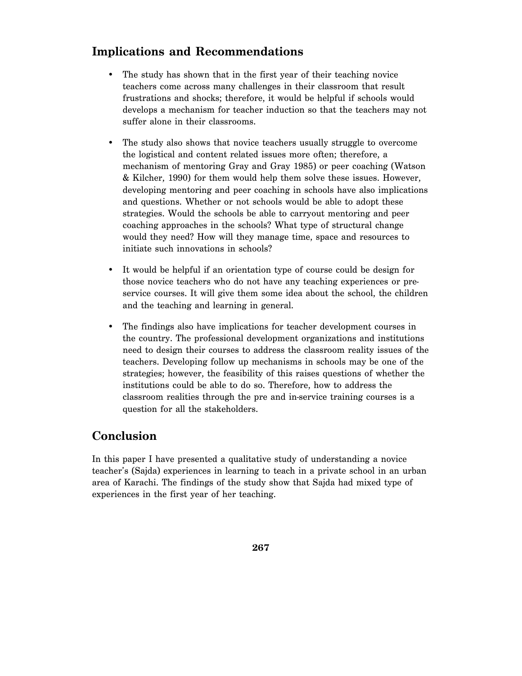#### **Implications and Recommendations**

- The study has shown that in the first year of their teaching novice teachers come across many challenges in their classroom that result frustrations and shocks; therefore, it would be helpful if schools would develops a mechanism for teacher induction so that the teachers may not suffer alone in their classrooms.
- The study also shows that novice teachers usually struggle to overcome the logistical and content related issues more often; therefore, a mechanism of mentoring Gray and Gray 1985) or peer coaching (Watson & Kilcher, 1990) for them would help them solve these issues. However, developing mentoring and peer coaching in schools have also implications and questions. Whether or not schools would be able to adopt these strategies. Would the schools be able to carryout mentoring and peer coaching approaches in the schools? What type of structural change would they need? How will they manage time, space and resources to initiate such innovations in schools?
- It would be helpful if an orientation type of course could be design for those novice teachers who do not have any teaching experiences or preservice courses. It will give them some idea about the school, the children and the teaching and learning in general.
- The findings also have implications for teacher development courses in the country. The professional development organizations and institutions need to design their courses to address the classroom reality issues of the teachers. Developing follow up mechanisms in schools may be one of the strategies; however, the feasibility of this raises questions of whether the institutions could be able to do so. Therefore, how to address the classroom realities through the pre and in-service training courses is a question for all the stakeholders.

## **Conclusion**

In this paper I have presented a qualitative study of understanding a novice teacher's (Sajda) experiences in learning to teach in a private school in an urban area of Karachi. The findings of the study show that Sajda had mixed type of experiences in the first year of her teaching.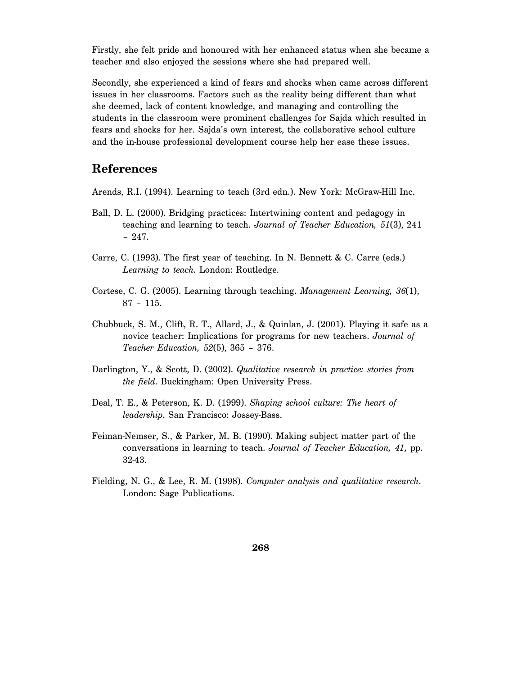Firstly, she felt pride and honoured with her enhanced status when she became a teacher and also enjoyed the sessions where she had prepared well.

Secondly, she experienced a kind of fears and shocks when came across different issues in her classrooms. Factors such as the reality being different than what she deemed, lack of content knowledge, and managing and controlling the students in the classroom were prominent challenges for Sajda which resulted in fears and shocks for her. Sajda's own interest, the collaborative school culture and the in-house professional development course help her ease these issues.

#### **References**

Arends, R.I. (1994). Learning to teach (3rd edn.). New York: McGraw-Hill Inc.

- Ball, D. L. (2000). Bridging practices: Intertwining content and pedagogy in teaching and learning to teach. *Journal of Teacher Education, 51*(3), 241 – 247.
- Carre, C. (1993). The first year of teaching. In N. Bennett & C. Carre (eds.) *Learning to teach*. London: Routledge.
- Cortese, C. G. (2005). Learning through teaching. *Management Learning, 36*(1), 87 – 115.
- Chubbuck, S. M., Clift, R. T., Allard, J., & Quinlan, J. (2001). Playing it safe as a novice teacher: Implications for programs for new teachers. *Journal of Teacher Education, 52*(5), 365 – 376.
- Darlington, Y., & Scott, D. (2002). *Qualitative research in practice: stories from the field*. Buckingham: Open University Press.
- Deal, T. E., & Peterson, K. D. (1999). *Shaping school culture: The heart of leadership*. San Francisco: Jossey-Bass.
- Feiman-Nemser, S., & Parker, M. B. (1990). Making subject matter part of the conversations in learning to teach. *Journal of Teacher Education, 41,* pp. 32-43.
- Fielding, N. G., & Lee, R. M. (1998). *Computer analysis and qualitative research*. London: Sage Publications.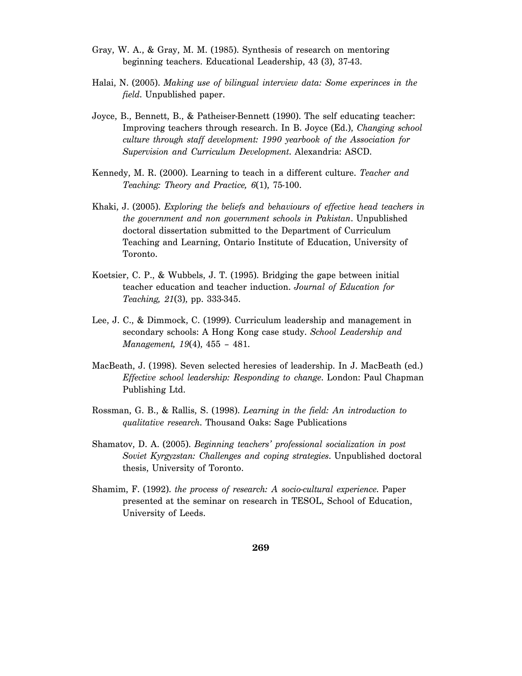- Gray, W. A., & Gray, M. M. (1985). Synthesis of research on mentoring beginning teachers. Educational Leadership, 43 (3), 37-43.
- Halai, N. (2005). *Making use of bilingual interview data: Some experinces in the field*. Unpublished paper.
- Joyce, B., Bennett, B., & Patheiser-Bennett (1990). The self educating teacher: Improving teachers through research. In B. Joyce (Ed.), *Changing school culture through staff development: 1990 yearbook of the Association for Supervision and Curriculum Development*. Alexandria: ASCD.
- Kennedy, M. R. (2000). Learning to teach in a different culture. *Teacher and Teaching: Theory and Practice, 6*(1), 75-100.
- Khaki, J. (2005). *Exploring the beliefs and behaviours of effective head teachers in the government and non government schools in Pakistan*. Unpublished doctoral dissertation submitted to the Department of Curriculum Teaching and Learning, Ontario Institute of Education, University of Toronto.
- Koetsier, C. P., & Wubbels, J. T. (1995). Bridging the gape between initial teacher education and teacher induction. *Journal of Education for Teaching, 21*(3), pp. 333-345.
- Lee, J. C., & Dimmock, C. (1999). Curriculum leadership and management in secondary schools: A Hong Kong case study. *School Leadership and Management, 19*(4), 455 – 481.
- MacBeath, J. (1998). Seven selected heresies of leadership. In J. MacBeath (ed.) *Effective school leadership: Responding to change*. London: Paul Chapman Publishing Ltd.
- Rossman, G. B., & Rallis, S. (1998). *Learning in the field: An introduction to qualitative research*. Thousand Oaks: Sage Publications
- Shamatov, D. A. (2005). *Beginning teachers' professional socialization in post Soviet Kyrgyzstan: Challenges and coping strategies*. Unpublished doctoral thesis, University of Toronto.
- Shamim, F. (1992). *the process of research: A socio-cultural experience*. Paper presented at the seminar on research in TESOL, School of Education, University of Leeds.